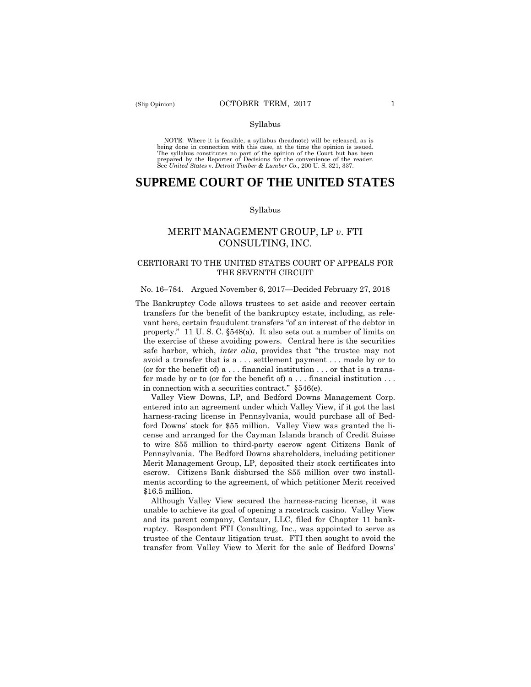#### Syllabus

 NOTE: Where it is feasible, a syllabus (headnote) will be released, as is being done in connection with this case, at the time the opinion is issued. The syllabus constitutes no part of the opinion of the Court but has been<br>prepared by the Reporter of Decisions for the convenience of the reader.<br>See United States v. Detroit Timber & Lumber Co., 200 U.S. 321, 337.

# **SUPREME COURT OF THE UNITED STATES**

#### Syllabus

## MERIT MANAGEMENT GROUP, LP *v*. FTI CONSULTING, INC.

## CERTIORARI TO THE UNITED STATES COURT OF APPEALS FOR THE SEVENTH CIRCUIT

## No. 16–784. Argued November 6, 2017—Decided February 27, 2018

The Bankruptcy Code allows trustees to set aside and recover certain transfers for the benefit of the bankruptcy estate, including, as relevant here, certain fraudulent transfers "of an interest of the debtor in property." 11 U. S. C. §548(a). It also sets out a number of limits on the exercise of these avoiding powers. Central here is the securities safe harbor, which, *inter alia*, provides that "the trustee may not avoid a transfer that is a . . . settlement payment . . . made by or to (or for the benefit of)  $a \dots$  financial institution  $\dots$  or that is a transfer made by or to (or for the benefit of)  $a \dots$  financial institution  $\dots$ in connection with a securities contract." §546(e).

Valley View Downs, LP, and Bedford Downs Management Corp. entered into an agreement under which Valley View, if it got the last harness-racing license in Pennsylvania, would purchase all of Bedford Downs' stock for \$55 million. Valley View was granted the license and arranged for the Cayman Islands branch of Credit Suisse to wire \$55 million to third-party escrow agent Citizens Bank of Pennsylvania. The Bedford Downs shareholders, including petitioner Merit Management Group, LP, deposited their stock certificates into escrow. Citizens Bank disbursed the \$55 million over two installments according to the agreement, of which petitioner Merit received \$16.5 million.

Although Valley View secured the harness-racing license, it was unable to achieve its goal of opening a racetrack casino. Valley View and its parent company, Centaur, LLC, filed for Chapter 11 bankruptcy. Respondent FTI Consulting, Inc., was appointed to serve as trustee of the Centaur litigation trust. FTI then sought to avoid the transfer from Valley View to Merit for the sale of Bedford Downs'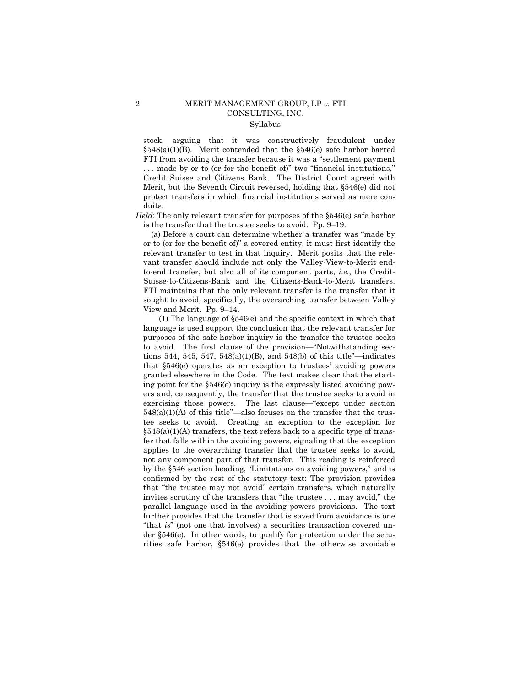## 2 MERIT MANAGEMENT GROUP, LP *v.* FTI CONSULTING, INC. Syllabus

stock, arguing that it was constructively fraudulent under §548(a)(1)(B). Merit contended that the §546(e) safe harbor barred FTI from avoiding the transfer because it was a "settlement payment . . . made by or to (or for the benefit of)" two "financial institutions," Credit Suisse and Citizens Bank. The District Court agreed with Merit, but the Seventh Circuit reversed, holding that §546(e) did not protect transfers in which financial institutions served as mere conduits.

*Held*: The only relevant transfer for purposes of the §546(e) safe harbor is the transfer that the trustee seeks to avoid. Pp. 9–19.

 relevant transfer to test in that inquiry. Merit posits that the rele-(a) Before a court can determine whether a transfer was "made by or to (or for the benefit of)" a covered entity, it must first identify the vant transfer should include not only the Valley-View-to-Merit endto-end transfer, but also all of its component parts, *i.e.*, the Credit-Suisse-to-Citizens-Bank and the Citizens-Bank-to-Merit transfers. FTI maintains that the only relevant transfer is the transfer that it sought to avoid, specifically, the overarching transfer between Valley View and Merit. Pp. 9–14.

(1) The language of §546(e) and the specific context in which that language is used support the conclusion that the relevant transfer for purposes of the safe-harbor inquiry is the transfer the trustee seeks to avoid. The first clause of the provision—"Notwithstanding sections 544, 545, 547, 548(a)(1)(B), and 548(b) of this title"—indicates that §546(e) operates as an exception to trustees' avoiding powers granted elsewhere in the Code. The text makes clear that the starting point for the §546(e) inquiry is the expressly listed avoiding powers and, consequently, the transfer that the trustee seeks to avoid in exercising those powers. The last clause—"except under section  $548(a)(1)(A)$  of this title"—also focuses on the transfer that the trustee seeks to avoid. Creating an exception to the exception for  $$548(a)(1)(A)$  transfers, the text refers back to a specific type of transfer that falls within the avoiding powers, signaling that the exception applies to the overarching transfer that the trustee seeks to avoid, not any component part of that transfer. This reading is reinforced by the §546 section heading, "Limitations on avoiding powers," and is confirmed by the rest of the statutory text: The provision provides that "the trustee may not avoid" certain transfers, which naturally invites scrutiny of the transfers that "the trustee . . . may avoid," the parallel language used in the avoiding powers provisions. The text further provides that the transfer that is saved from avoidance is one "that *is*" (not one that involves) a securities transaction covered under §546(e). In other words, to qualify for protection under the securities safe harbor, §546(e) provides that the otherwise avoidable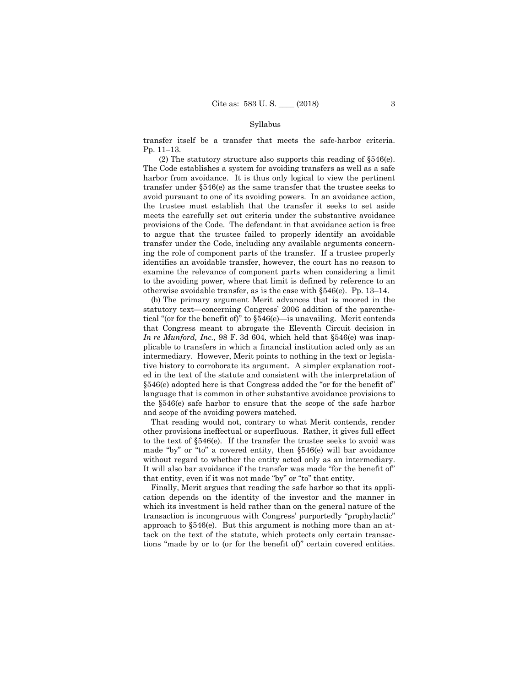#### Syllabus

transfer itself be a transfer that meets the safe-harbor criteria. Pp. 11–13.

(2) The statutory structure also supports this reading of §546(e). The Code establishes a system for avoiding transfers as well as a safe harbor from avoidance. It is thus only logical to view the pertinent transfer under §546(e) as the same transfer that the trustee seeks to avoid pursuant to one of its avoiding powers. In an avoidance action, the trustee must establish that the transfer it seeks to set aside meets the carefully set out criteria under the substantive avoidance provisions of the Code. The defendant in that avoidance action is free to argue that the trustee failed to properly identify an avoidable transfer under the Code, including any available arguments concerning the role of component parts of the transfer. If a trustee properly identifies an avoidable transfer, however, the court has no reason to examine the relevance of component parts when considering a limit to the avoiding power, where that limit is defined by reference to an otherwise avoidable transfer, as is the case with §546(e). Pp. 13–14.

 intermediary. However, Merit points to nothing in the text or legisla-(b) The primary argument Merit advances that is moored in the statutory text—concerning Congress' 2006 addition of the parenthetical "(or for the benefit of)" to §546(e)—is unavailing. Merit contends that Congress meant to abrogate the Eleventh Circuit decision in *In re Munford, Inc.,* 98 F. 3d 604, which held that §546(e) was inapplicable to transfers in which a financial institution acted only as an tive history to corroborate its argument. A simpler explanation rooted in the text of the statute and consistent with the interpretation of §546(e) adopted here is that Congress added the "or for the benefit of" language that is common in other substantive avoidance provisions to the §546(e) safe harbor to ensure that the scope of the safe harbor and scope of the avoiding powers matched.

That reading would not, contrary to what Merit contends, render other provisions ineffectual or superfluous. Rather, it gives full effect to the text of §546(e). If the transfer the trustee seeks to avoid was made "by" or "to" a covered entity, then §546(e) will bar avoidance without regard to whether the entity acted only as an intermediary. It will also bar avoidance if the transfer was made "for the benefit of" that entity, even if it was not made "by" or "to" that entity.

Finally, Merit argues that reading the safe harbor so that its application depends on the identity of the investor and the manner in which its investment is held rather than on the general nature of the transaction is incongruous with Congress' purportedly "prophylactic" approach to §546(e). But this argument is nothing more than an attack on the text of the statute, which protects only certain transactions "made by or to (or for the benefit of)" certain covered entities.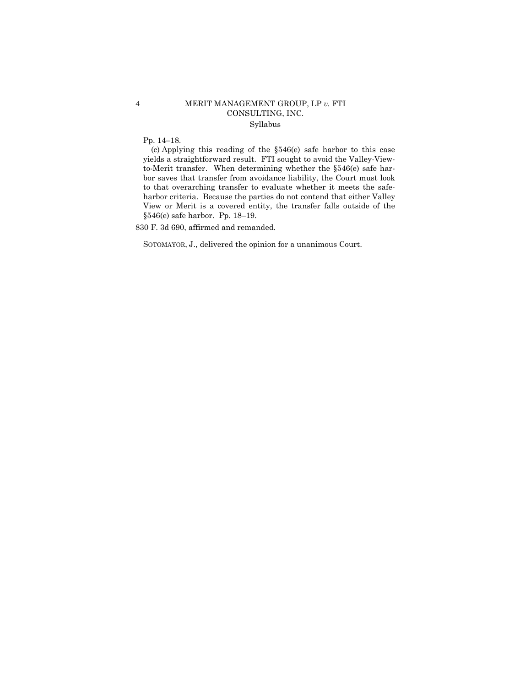## 4 MERIT MANAGEMENT GROUP, LP *v.* FTI CONSULTING, INC. Syllabus

Pp. 14–18.

(c) Applying this reading of the §546(e) safe harbor to this case yields a straightforward result. FTI sought to avoid the Valley-Viewto-Merit transfer. When determining whether the §546(e) safe harbor saves that transfer from avoidance liability, the Court must look to that overarching transfer to evaluate whether it meets the safeharbor criteria. Because the parties do not contend that either Valley View or Merit is a covered entity, the transfer falls outside of the §546(e) safe harbor. Pp. 18–19.

830 F. 3d 690, affirmed and remanded.

SOTOMAYOR, J., delivered the opinion for a unanimous Court.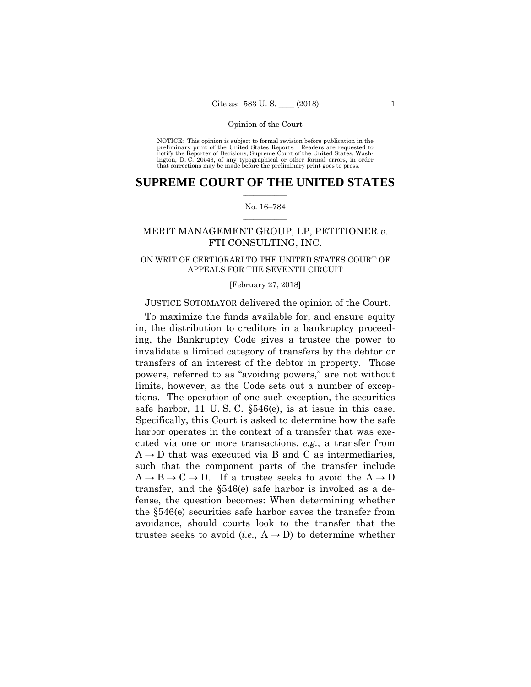preliminary print of the United States Reports. Readers are requested to notify the Reporter of Decisions, Supreme Court of the United States, Wash- ington, D. C. 20543, of any typographical or other formal errors, in order that corrections may be made before the preliminary print goes to press. NOTICE: This opinion is subject to formal revision before publication in the

## $\frac{1}{2}$  ,  $\frac{1}{2}$  ,  $\frac{1}{2}$  ,  $\frac{1}{2}$  ,  $\frac{1}{2}$  ,  $\frac{1}{2}$  ,  $\frac{1}{2}$ **SUPREME COURT OF THE UNITED STATES**

#### $\frac{1}{2}$  ,  $\frac{1}{2}$  ,  $\frac{1}{2}$  ,  $\frac{1}{2}$  ,  $\frac{1}{2}$  ,  $\frac{1}{2}$ No. 16–784

## MERIT MANAGEMENT GROUP, LP, PETITIONER *v.* FTI CONSULTING, INC.

## ON WRIT OF CERTIORARI TO THE UNITED STATES COURT OF APPEALS FOR THE SEVENTH CIRCUIT

#### [February 27, 2018]

## JUSTICE SOTOMAYOR delivered the opinion of the Court.

To maximize the funds available for, and ensure equity in, the distribution to creditors in a bankruptcy proceeding, the Bankruptcy Code gives a trustee the power to invalidate a limited category of transfers by the debtor or transfers of an interest of the debtor in property. Those powers, referred to as "avoiding powers," are not without limits, however, as the Code sets out a number of exceptions. The operation of one such exception, the securities safe harbor, 11 U.S.C.  $\S546(e)$ , is at issue in this case. Specifically, this Court is asked to determine how the safe harbor operates in the context of a transfer that was executed via one or more transactions, *e.g.,* a transfer from  $A \rightarrow D$  that was executed via B and C as intermediaries, such that the component parts of the transfer include  $A \rightarrow B \rightarrow C \rightarrow D$ . If a trustee seeks to avoid the  $A \rightarrow D$ transfer, and the §546(e) safe harbor is invoked as a defense, the question becomes: When determining whether the §546(e) securities safe harbor saves the transfer from avoidance, should courts look to the transfer that the trustee seeks to avoid (*i.e.*,  $A \rightarrow D$ ) to determine whether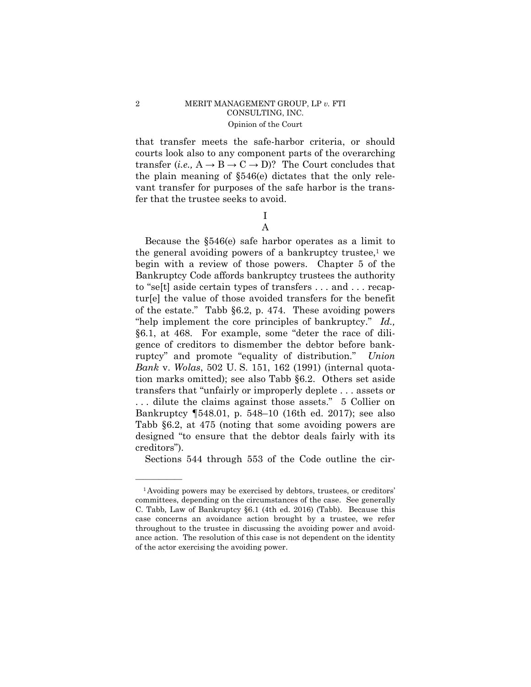that transfer meets the safe-harbor criteria, or should courts look also to any component parts of the overarching transfer (*i.e.*,  $A \rightarrow B \rightarrow C \rightarrow D$ )? The Court concludes that the plain meaning of §546(e) dictates that the only relevant transfer for purposes of the safe harbor is the transfer that the trustee seeks to avoid.

> I A

 "help implement the core principles of bankruptcy." *Id.,*  Because the §546(e) safe harbor operates as a limit to the general avoiding powers of a bankruptcy trustee, $<sup>1</sup>$  we</sup> begin with a review of those powers. Chapter 5 of the Bankruptcy Code affords bankruptcy trustees the authority to "se[t] aside certain types of transfers . . . and . . . recaptur[e] the value of those avoided transfers for the benefit of the estate." Tabb §6.2, p. 474. These avoiding powers §6.1, at 468. For example, some "deter the race of diligence of creditors to dismember the debtor before bankruptcy" and promote "equality of distribution." *Union Bank* v. *Wolas*, 502 U. S. 151, 162 (1991) (internal quotation marks omitted); see also Tabb §6.2. Others set aside transfers that "unfairly or improperly deplete . . . assets or . . . dilute the claims against those assets." 5 Collier on Bankruptcy ¶548.01, p. 548–10 (16th ed. 2017); see also Tabb §6.2, at 475 (noting that some avoiding powers are designed "to ensure that the debtor deals fairly with its creditors").

Sections 544 through 553 of the Code outline the cir

<sup>1</sup>Avoiding powers may be exercised by debtors, trustees, or creditors' committees, depending on the circumstances of the case. See generally C. Tabb, Law of Bankruptcy §6.1 (4th ed. 2016) (Tabb). Because this case concerns an avoidance action brought by a trustee, we refer throughout to the trustee in discussing the avoiding power and avoidance action. The resolution of this case is not dependent on the identity of the actor exercising the avoiding power.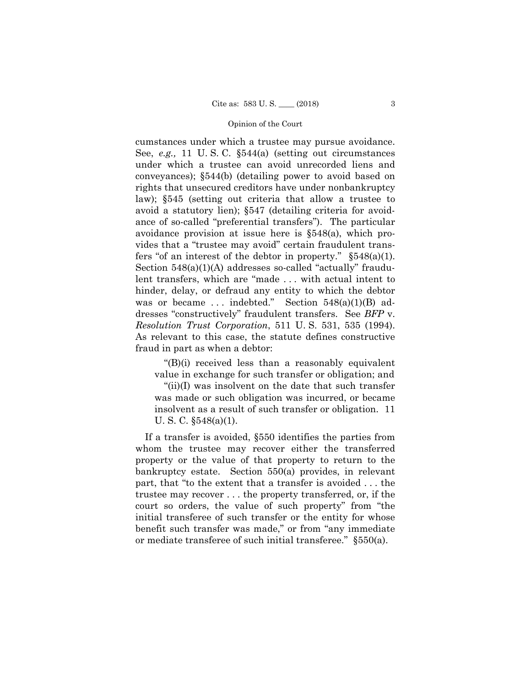cumstances under which a trustee may pursue avoidance. See, *e.g.,* 11 U. S. C. §544(a) (setting out circumstances under which a trustee can avoid unrecorded liens and conveyances); §544(b) (detailing power to avoid based on rights that unsecured creditors have under nonbankruptcy law); §545 (setting out criteria that allow a trustee to avoid a statutory lien); §547 (detailing criteria for avoidance of so-called "preferential transfers"). The particular avoidance provision at issue here is §548(a), which provides that a "trustee may avoid" certain fraudulent transfers "of an interest of the debtor in property." §548(a)(1). Section 548(a)(1)(A) addresses so-called "actually" fraudulent transfers, which are "made . . . with actual intent to hinder, delay, or defraud any entity to which the debtor was or became ... indebted." Section  $548(a)(1)(B)$  addresses "constructively" fraudulent transfers. See *BFP* v. *Resolution Trust Corporation*, 511 U. S. 531, 535 (1994). As relevant to this case, the statute defines constructive fraud in part as when a debtor:

"(B)(i) received less than a reasonably equivalent value in exchange for such transfer or obligation; and

"(ii)(I) was insolvent on the date that such transfer was made or such obligation was incurred, or became insolvent as a result of such transfer or obligation. 11 U. S. C. §548(a)(1).

If a transfer is avoided, §550 identifies the parties from whom the trustee may recover either the transferred property or the value of that property to return to the bankruptcy estate. Section 550(a) provides, in relevant part, that "to the extent that a transfer is avoided . . . the trustee may recover . . . the property transferred, or, if the court so orders, the value of such property" from "the initial transferee of such transfer or the entity for whose benefit such transfer was made," or from "any immediate or mediate transferee of such initial transferee." §550(a).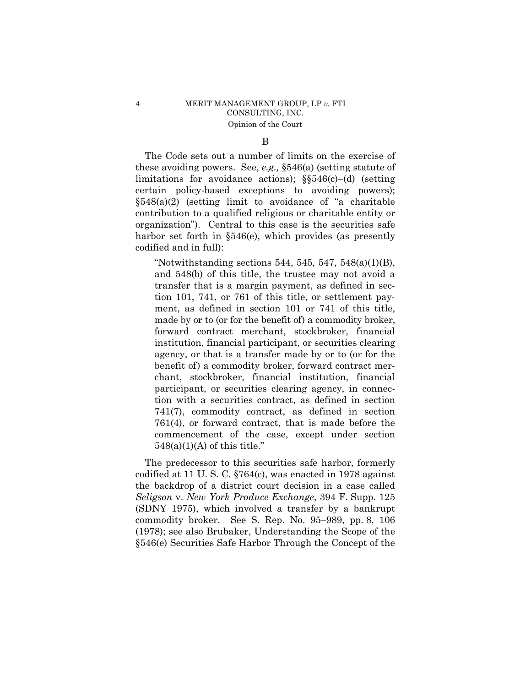B

The Code sets out a number of limits on the exercise of these avoiding powers. See, *e.g.,* §546(a) (setting statute of limitations for avoidance actions); §§546(c)–(d) (setting certain policy-based exceptions to avoiding powers);  $§548(a)(2)$  (setting limit to avoidance of "a charitable contribution to a qualified religious or charitable entity or organization"). Central to this case is the securities safe harbor set forth in §546(e), which provides (as presently codified and in full):

"Notwithstanding sections 544, 545, 547, 548 $(a)(1)(B)$ , and 548(b) of this title, the trustee may not avoid a transfer that is a margin payment, as defined in section 101, 741, or 761 of this title, or settlement payment, as defined in section 101 or 741 of this title, made by or to (or for the benefit of) a commodity broker, forward contract merchant, stockbroker, financial institution, financial participant, or securities clearing agency, or that is a transfer made by or to (or for the benefit of) a commodity broker, forward contract merchant, stockbroker, financial institution, financial participant, or securities clearing agency, in connection with a securities contract, as defined in section 741(7), commodity contract, as defined in section 761(4), or forward contract, that is made before the commencement of the case, except under section  $548(a)(1)(A)$  of this title."

The predecessor to this securities safe harbor, formerly codified at 11 U. S. C. §764(c), was enacted in 1978 against the backdrop of a district court decision in a case called *Seligson* v. *New York Produce Exchange*, 394 F. Supp. 125 (SDNY 1975), which involved a transfer by a bankrupt commodity broker. See S. Rep. No. 95–989, pp. 8, 106 (1978); see also Brubaker, Understanding the Scope of the §546(e) Securities Safe Harbor Through the Concept of the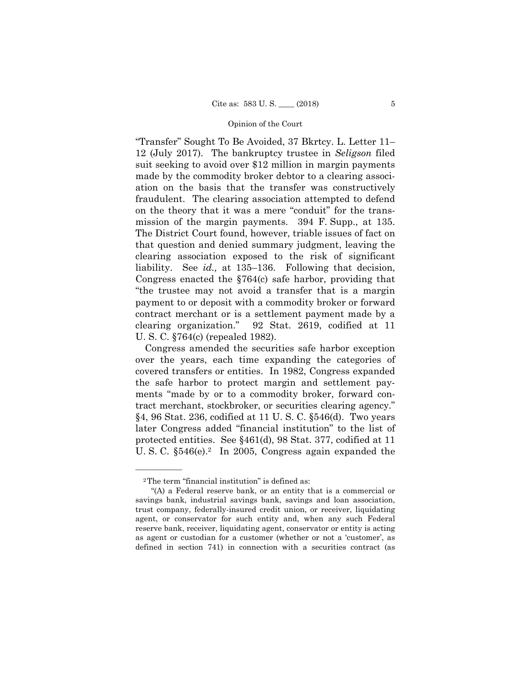mission of the margin payments. 394 F. Supp., at 135. "Transfer" Sought To Be Avoided, 37 Bkrtcy. L. Letter 11– 12 (July 2017). The bankruptcy trustee in *Seligson* filed suit seeking to avoid over \$12 million in margin payments made by the commodity broker debtor to a clearing association on the basis that the transfer was constructively fraudulent. The clearing association attempted to defend on the theory that it was a mere "conduit" for the trans-The District Court found, however, triable issues of fact on that question and denied summary judgment, leaving the clearing association exposed to the risk of significant liability. See *id.,* at 135–136. Following that decision, Congress enacted the §764(c) safe harbor, providing that "the trustee may not avoid a transfer that is a margin payment to or deposit with a commodity broker or forward contract merchant or is a settlement payment made by a clearing organization." 92 Stat. 2619, codified at 11 U. S. C. §764(c) (repealed 1982).

Congress amended the securities safe harbor exception over the years, each time expanding the categories of covered transfers or entities. In 1982, Congress expanded the safe harbor to protect margin and settlement payments "made by or to a commodity broker, forward contract merchant, stockbroker, or securities clearing agency." §4, 96 Stat. 236, codified at 11 U. S. C. §546(d). Two years later Congress added "financial institution" to the list of protected entities. See §461(d), 98 Stat. 377, codified at 11 U. S. C.  $\S546(e)$ . In 2005, Congress again expanded the

<sup>2</sup>The term "financial institution" is defined as:

 reserve bank, receiver, liquidating agent, conservator or entity is acting "(A) a Federal reserve bank, or an entity that is a commercial or savings bank, industrial savings bank, savings and loan association, trust company, federally-insured credit union, or receiver, liquidating agent, or conservator for such entity and, when any such Federal as agent or custodian for a customer (whether or not a 'customer', as defined in section 741) in connection with a securities contract (as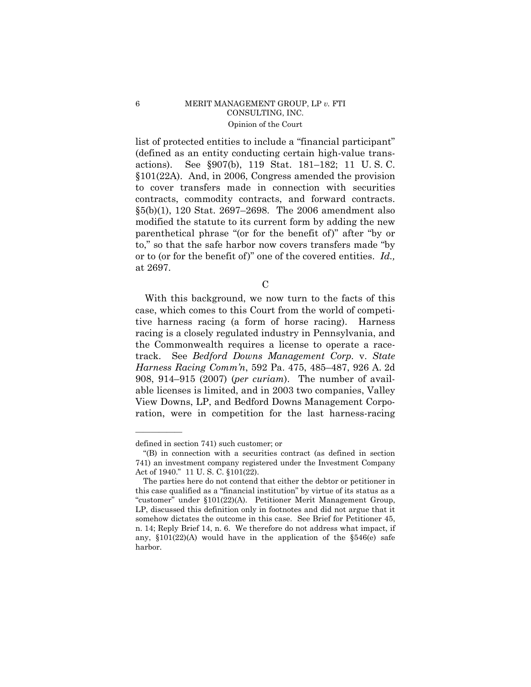list of protected entities to include a "financial participant" (defined as an entity conducting certain high-value transactions). See §907(b), 119 Stat. 181–182; 11 U. S. C. §101(22A). And, in 2006, Congress amended the provision to cover transfers made in connection with securities contracts, commodity contracts, and forward contracts. §5(b)(1), 120 Stat. 2697–2698. The 2006 amendment also modified the statute to its current form by adding the new parenthetical phrase "(or for the benefit of)" after "by or to," so that the safe harbor now covers transfers made "by or to (or for the benefit of)" one of the covered entities. *Id.,*  at 2697.

 $\overline{C}$ 

With this background, we now turn to the facts of this case, which comes to this Court from the world of competitive harness racing (a form of horse racing). Harness racing is a closely regulated industry in Pennsylvania, and the Commonwealth requires a license to operate a racetrack. See *Bedford Downs Management Corp.* v. *State Harness Racing Comm'n*, 592 Pa. 475, 485–487, 926 A. 2d 908, 914–915 (2007) (*per curiam*). The number of available licenses is limited, and in 2003 two companies, Valley View Downs, LP, and Bedford Downs Management Corporation, were in competition for the last harness-racing

defined in section 741) such customer; or

 741) an investment company registered under the Investment Company "(B) in connection with a securities contract (as defined in section Act of 1940." 11 U. S. C. §101(22).

The parties here do not contend that either the debtor or petitioner in this case qualified as a "financial institution" by virtue of its status as a "customer" under §101(22)(A). Petitioner Merit Management Group, LP, discussed this definition only in footnotes and did not argue that it somehow dictates the outcome in this case. See Brief for Petitioner 45, n. 14; Reply Brief 14, n. 6. We therefore do not address what impact, if any,  $$101(22)(A)$  would have in the application of the  $$546(e)$  safe harbor.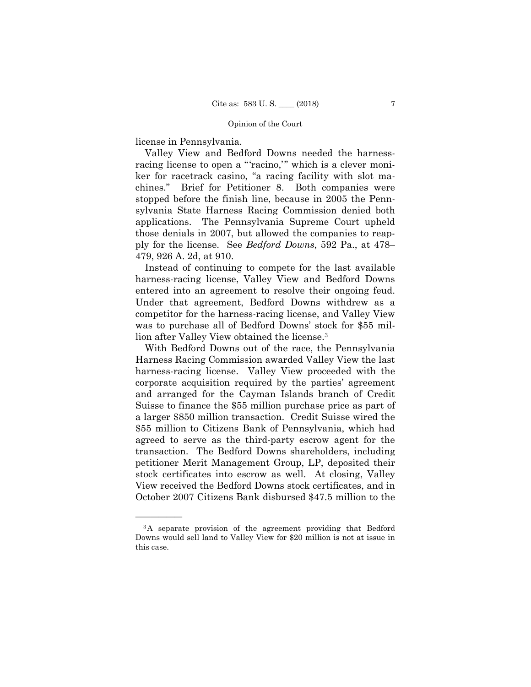license in Pennsylvania.

——————

Valley View and Bedford Downs needed the harnessracing license to open a "'racino,'" which is a clever moniker for racetrack casino, "a racing facility with slot machines." Brief for Petitioner 8. Both companies were stopped before the finish line, because in 2005 the Pennsylvania State Harness Racing Commission denied both applications. The Pennsylvania Supreme Court upheld those denials in 2007, but allowed the companies to reapply for the license. See *Bedford Downs*, 592 Pa., at 478– 479, 926 A. 2d, at 910.

Instead of continuing to compete for the last available harness-racing license, Valley View and Bedford Downs entered into an agreement to resolve their ongoing feud. Under that agreement, Bedford Downs withdrew as a competitor for the harness-racing license, and Valley View was to purchase all of Bedford Downs' stock for \$55 million after Valley View obtained the license.3

With Bedford Downs out of the race, the Pennsylvania Harness Racing Commission awarded Valley View the last harness-racing license. Valley View proceeded with the corporate acquisition required by the parties' agreement and arranged for the Cayman Islands branch of Credit Suisse to finance the \$55 million purchase price as part of a larger \$850 million transaction. Credit Suisse wired the \$55 million to Citizens Bank of Pennsylvania, which had agreed to serve as the third-party escrow agent for the transaction. The Bedford Downs shareholders, including petitioner Merit Management Group, LP, deposited their stock certificates into escrow as well. At closing, Valley View received the Bedford Downs stock certificates, and in October 2007 Citizens Bank disbursed \$47.5 million to the

<sup>3</sup>A separate provision of the agreement providing that Bedford Downs would sell land to Valley View for \$20 million is not at issue in this case.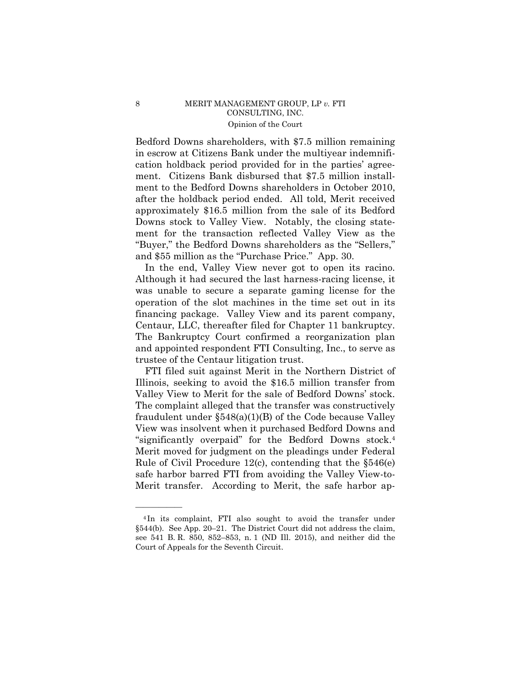Bedford Downs shareholders, with \$7.5 million remaining in escrow at Citizens Bank under the multiyear indemnification holdback period provided for in the parties' agreement. Citizens Bank disbursed that \$7.5 million installment to the Bedford Downs shareholders in October 2010, after the holdback period ended. All told, Merit received approximately \$16.5 million from the sale of its Bedford Downs stock to Valley View. Notably, the closing statement for the transaction reflected Valley View as the "Buyer," the Bedford Downs shareholders as the "Sellers," and \$55 million as the "Purchase Price." App. 30.

In the end, Valley View never got to open its racino. Although it had secured the last harness-racing license, it was unable to secure a separate gaming license for the operation of the slot machines in the time set out in its financing package. Valley View and its parent company, Centaur, LLC, thereafter filed for Chapter 11 bankruptcy. The Bankruptcy Court confirmed a reorganization plan and appointed respondent FTI Consulting, Inc., to serve as trustee of the Centaur litigation trust.

 "significantly overpaid" for the Bedford Downs stock.4 FTI filed suit against Merit in the Northern District of Illinois, seeking to avoid the \$16.5 million transfer from Valley View to Merit for the sale of Bedford Downs' stock. The complaint alleged that the transfer was constructively fraudulent under  $\S548(a)(1)(B)$  of the Code because Valley View was insolvent when it purchased Bedford Downs and Merit moved for judgment on the pleadings under Federal Rule of Civil Procedure 12(c), contending that the §546(e) safe harbor barred FTI from avoiding the Valley View-to-Merit transfer. According to Merit, the safe harbor ap

<sup>4</sup> In its complaint, FTI also sought to avoid the transfer under §544(b). See App. 20–21. The District Court did not address the claim, see 541 B. R. 850, 852–853, n. 1 (ND Ill. 2015), and neither did the Court of Appeals for the Seventh Circuit.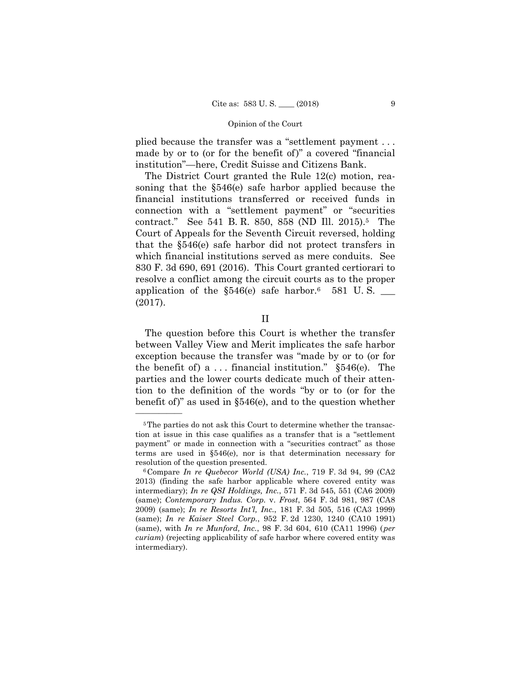plied because the transfer was a "settlement payment . . . made by or to (or for the benefit of)" a covered "financial institution"—here, Credit Suisse and Citizens Bank.

The District Court granted the Rule 12(c) motion, reasoning that the §546(e) safe harbor applied because the financial institutions transferred or received funds in connection with a "settlement payment" or "securities contract." See 541 B. R. 850, 858 (ND Ill. 2015).5 The Court of Appeals for the Seventh Circuit reversed, holding that the §546(e) safe harbor did not protect transfers in which financial institutions served as mere conduits. See 830 F. 3d 690, 691 (2016). This Court granted certiorari to resolve a conflict among the circuit courts as to the proper application of the  $\S 546(e)$  safe harbor.<sup>6</sup> 581 U.S. (2017).

II

The question before this Court is whether the transfer between Valley View and Merit implicates the safe harbor exception because the transfer was "made by or to (or for the benefit of) a ... financial institution."  $§546(e)$ . The parties and the lower courts dedicate much of their attention to the definition of the words "by or to (or for the benefit of)" as used in §546(e), and to the question whether

<sup>&</sup>lt;sup>5</sup>The parties do not ask this Court to determine whether the transaction at issue in this case qualifies as a transfer that is a "settlement payment" or made in connection with a "securities contract" as those terms are used in §546(e), nor is that determination necessary for resolution of the question presented.<br><sup>6</sup>Compare *In re Quebecor World (USA) Inc.*, 719 F. 3d 94, 99 (CA2

<sup>2013) (</sup>finding the safe harbor applicable where covered entity was intermediary); *In re QSI Holdings, Inc.*, 571 F. 3d 545, 551 (CA6 2009) (same); *Contemporary Indus. Corp.* v. *Frost*, 564 F. 3d 981, 987 (CA8 2009) (same); *In re Resorts Int'l, Inc.*, 181 F. 3d 505, 516 (CA3 1999) (same); *In re Kaiser Steel Corp.*, 952 F. 2d 1230, 1240 (CA10 1991) (same), with *In re Munford, Inc.*, 98 F. 3d 604, 610 (CA11 1996) ( *per curiam*) (rejecting applicability of safe harbor where covered entity was intermediary).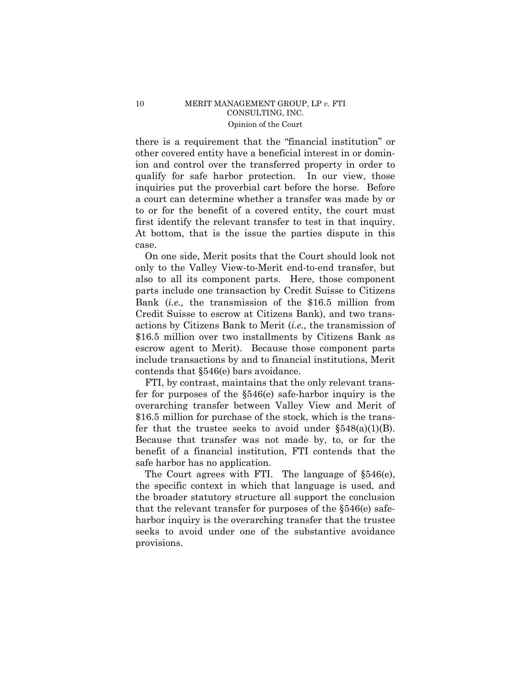there is a requirement that the "financial institution" or other covered entity have a beneficial interest in or dominion and control over the transferred property in order to qualify for safe harbor protection. In our view, those inquiries put the proverbial cart before the horse. Before a court can determine whether a transfer was made by or to or for the benefit of a covered entity, the court must first identify the relevant transfer to test in that inquiry. At bottom, that is the issue the parties dispute in this case.

On one side, Merit posits that the Court should look not only to the Valley View-to-Merit end-to-end transfer, but also to all its component parts. Here, those component parts include one transaction by Credit Suisse to Citizens Bank (*i.e.,* the transmission of the \$16.5 million from Credit Suisse to escrow at Citizens Bank), and two transactions by Citizens Bank to Merit (*i.e.,* the transmission of \$16.5 million over two installments by Citizens Bank as escrow agent to Merit). Because those component parts include transactions by and to financial institutions, Merit contends that §546(e) bars avoidance.

FTI, by contrast, maintains that the only relevant transfer for purposes of the §546(e) safe-harbor inquiry is the overarching transfer between Valley View and Merit of \$16.5 million for purchase of the stock, which is the transfer that the trustee seeks to avoid under  $$548(a)(1)(B)$ . Because that transfer was not made by, to, or for the benefit of a financial institution, FTI contends that the safe harbor has no application.

The Court agrees with FTI. The language of §546(e), the specific context in which that language is used, and the broader statutory structure all support the conclusion that the relevant transfer for purposes of the §546(e) safeharbor inquiry is the overarching transfer that the trustee seeks to avoid under one of the substantive avoidance provisions.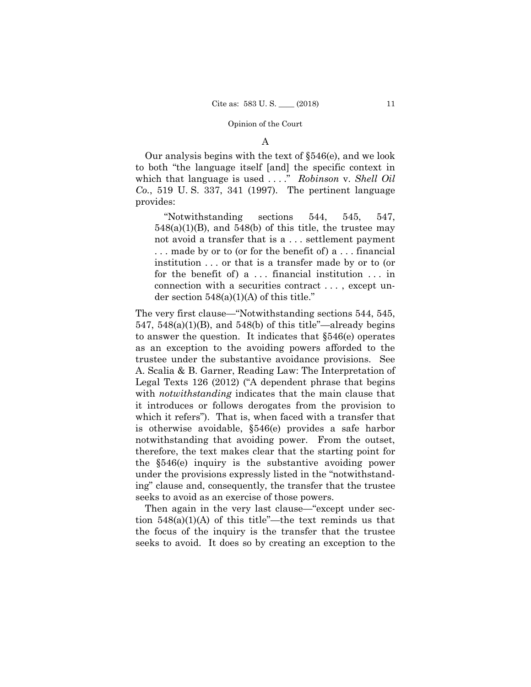#### A

Our analysis begins with the text of §546(e), and we look to both "the language itself [and] the specific context in which that language is used . . . ." *Robinson* v. *Shell Oil Co.*, 519 U. S. 337, 341 (1997). The pertinent language provides:

"Notwithstanding sections 544, 545, 547,  $548(a)(1)(B)$ , and  $548(b)$  of this title, the trustee may not avoid a transfer that is a . . . settlement payment . . . made by or to (or for the benefit of) a . . . financial institution . . . or that is a transfer made by or to (or for the benefit of)  $a \ldots$  financial institution  $\ldots$  in connection with a securities contract . . . , except under section  $548(a)(1)(A)$  of this title."

The very first clause—"Notwithstanding sections 544, 545, 547, 548(a)(1)(B), and 548(b) of this title"—already begins to answer the question. It indicates that §546(e) operates as an exception to the avoiding powers afforded to the trustee under the substantive avoidance provisions. See A. Scalia & B. Garner, Reading Law: The Interpretation of Legal Texts 126 (2012) ("A dependent phrase that begins with *notwithstanding* indicates that the main clause that it introduces or follows derogates from the provision to which it refers"). That is, when faced with a transfer that is otherwise avoidable, §546(e) provides a safe harbor notwithstanding that avoiding power. From the outset, therefore, the text makes clear that the starting point for the §546(e) inquiry is the substantive avoiding power under the provisions expressly listed in the "notwithstanding" clause and, consequently, the transfer that the trustee seeks to avoid as an exercise of those powers.

Then again in the very last clause—"except under section  $548(a)(1)(A)$  of this title"—the text reminds us that the focus of the inquiry is the transfer that the trustee seeks to avoid. It does so by creating an exception to the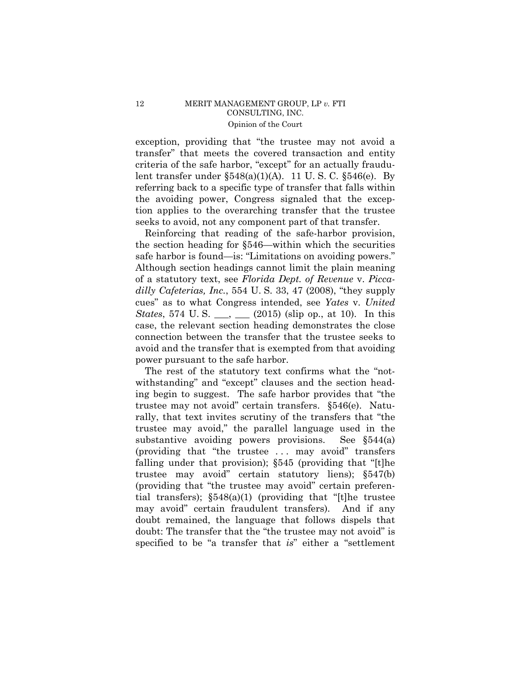exception, providing that "the trustee may not avoid a transfer" that meets the covered transaction and entity criteria of the safe harbor, "except" for an actually fraudulent transfer under §548(a)(1)(A). 11 U. S. C. §546(e). By referring back to a specific type of transfer that falls within the avoiding power, Congress signaled that the exception applies to the overarching transfer that the trustee seeks to avoid, not any component part of that transfer.

Reinforcing that reading of the safe-harbor provision, the section heading for §546—within which the securities safe harbor is found—is: "Limitations on avoiding powers." Although section headings cannot limit the plain meaning of a statutory text, see *Florida Dept. of Revenue* v. *Piccadilly Cafeterias, Inc.*, 554 U. S. 33, 47 (2008), "they supply cues" as to what Congress intended, see *Yates* v. *United States*, 574 U.S. \_\_, \_\_ (2015) (slip op., at 10). In this case, the relevant section heading demonstrates the close connection between the transfer that the trustee seeks to avoid and the transfer that is exempted from that avoiding power pursuant to the safe harbor.

The rest of the statutory text confirms what the "notwithstanding" and "except" clauses and the section heading begin to suggest. The safe harbor provides that "the trustee may not avoid" certain transfers. §546(e). Naturally, that text invites scrutiny of the transfers that "the trustee may avoid," the parallel language used in the substantive avoiding powers provisions. See §544(a) (providing that "the trustee . . . may avoid" transfers falling under that provision); §545 (providing that "[t]he trustee may avoid" certain statutory liens); §547(b) (providing that "the trustee may avoid" certain preferential transfers); §548(a)(1) (providing that "[t]he trustee may avoid" certain fraudulent transfers). And if any doubt remained, the language that follows dispels that doubt: The transfer that the "the trustee may not avoid" is specified to be "a transfer that *is*" either a "settlement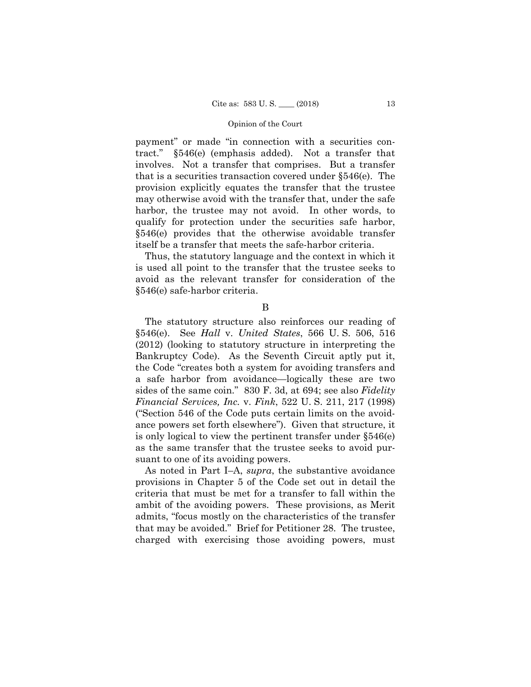payment" or made "in connection with a securities contract." §546(e) (emphasis added). Not a transfer that involves. Not a transfer that comprises. But a transfer that is a securities transaction covered under §546(e). The provision explicitly equates the transfer that the trustee may otherwise avoid with the transfer that, under the safe harbor, the trustee may not avoid. In other words, to qualify for protection under the securities safe harbor, §546(e) provides that the otherwise avoidable transfer itself be a transfer that meets the safe-harbor criteria.

Thus, the statutory language and the context in which it is used all point to the transfer that the trustee seeks to avoid as the relevant transfer for consideration of the §546(e) safe-harbor criteria.

B

The statutory structure also reinforces our reading of §546(e). See *Hall* v. *United States*, 566 U. S. 506, 516 (2012) (looking to statutory structure in interpreting the Bankruptcy Code). As the Seventh Circuit aptly put it, the Code "creates both a system for avoiding transfers and a safe harbor from avoidance—logically these are two sides of the same coin." 830 F. 3d, at 694; see also *Fidelity Financial Services, Inc.* v. *Fink*, 522 U. S. 211, 217 (1998) ("Section 546 of the Code puts certain limits on the avoidance powers set forth elsewhere"). Given that structure, it is only logical to view the pertinent transfer under §546(e) as the same transfer that the trustee seeks to avoid pursuant to one of its avoiding powers.

As noted in Part I–A, *supra*, the substantive avoidance provisions in Chapter 5 of the Code set out in detail the criteria that must be met for a transfer to fall within the ambit of the avoiding powers. These provisions, as Merit admits, "focus mostly on the characteristics of the transfer that may be avoided." Brief for Petitioner 28. The trustee, charged with exercising those avoiding powers, must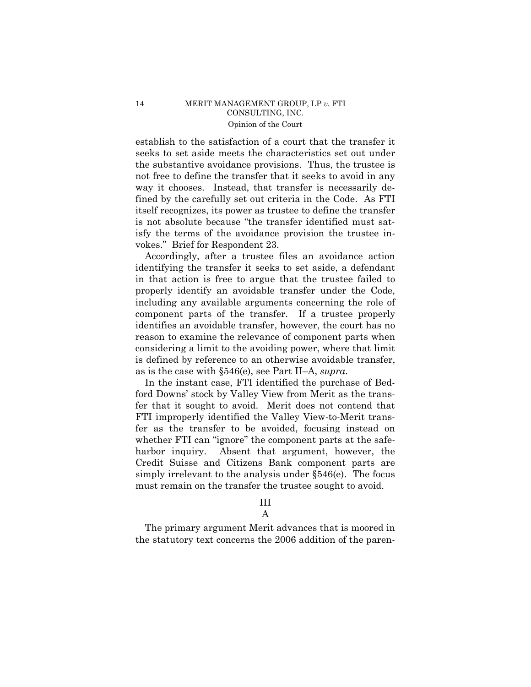establish to the satisfaction of a court that the transfer it seeks to set aside meets the characteristics set out under the substantive avoidance provisions. Thus, the trustee is not free to define the transfer that it seeks to avoid in any way it chooses. Instead, that transfer is necessarily defined by the carefully set out criteria in the Code. As FTI itself recognizes, its power as trustee to define the transfer is not absolute because "the transfer identified must satisfy the terms of the avoidance provision the trustee invokes." Brief for Respondent 23.

Accordingly, after a trustee files an avoidance action identifying the transfer it seeks to set aside, a defendant in that action is free to argue that the trustee failed to properly identify an avoidable transfer under the Code, including any available arguments concerning the role of component parts of the transfer. If a trustee properly identifies an avoidable transfer, however, the court has no reason to examine the relevance of component parts when considering a limit to the avoiding power, where that limit is defined by reference to an otherwise avoidable transfer, as is the case with §546(e), see Part II–A, *supra*.

In the instant case, FTI identified the purchase of Bedford Downs' stock by Valley View from Merit as the transfer that it sought to avoid. Merit does not contend that FTI improperly identified the Valley View-to-Merit transfer as the transfer to be avoided, focusing instead on whether FTI can "ignore" the component parts at the safeharbor inquiry. Absent that argument, however, the Credit Suisse and Citizens Bank component parts are simply irrelevant to the analysis under §546(e). The focus must remain on the transfer the trustee sought to avoid.

# III

## A

The primary argument Merit advances that is moored in the statutory text concerns the 2006 addition of the paren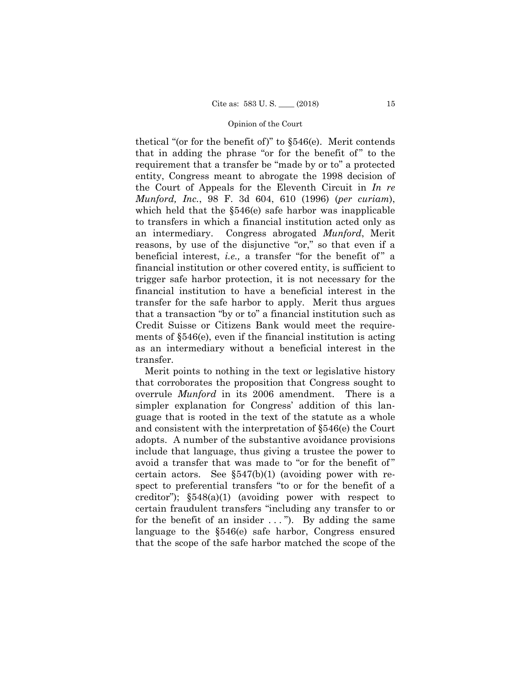thetical "(or for the benefit of)" to §546(e). Merit contends that in adding the phrase "or for the benefit of" to the requirement that a transfer be "made by or to" a protected entity, Congress meant to abrogate the 1998 decision of the Court of Appeals for the Eleventh Circuit in *In re Munford, Inc.*, 98 F. 3d 604, 610 (1996) (*per curiam*), which held that the  $\S546(e)$  safe harbor was inapplicable to transfers in which a financial institution acted only as an intermediary. Congress abrogated *Munford*, Merit reasons, by use of the disjunctive "or," so that even if a beneficial interest, *i.e.*, a transfer "for the benefit of" a financial institution or other covered entity, is sufficient to trigger safe harbor protection, it is not necessary for the financial institution to have a beneficial interest in the transfer for the safe harbor to apply. Merit thus argues that a transaction "by or to" a financial institution such as Credit Suisse or Citizens Bank would meet the requirements of §546(e), even if the financial institution is acting as an intermediary without a beneficial interest in the transfer.

Merit points to nothing in the text or legislative history that corroborates the proposition that Congress sought to overrule *Munford* in its 2006 amendment. There is a simpler explanation for Congress' addition of this language that is rooted in the text of the statute as a whole and consistent with the interpretation of §546(e) the Court adopts. A number of the substantive avoidance provisions include that language, thus giving a trustee the power to avoid a transfer that was made to "or for the benefit of " certain actors. See  $\S547(b)(1)$  (avoiding power with respect to preferential transfers "to or for the benefit of a creditor");  $\S548(a)(1)$  (avoiding power with respect to certain fraudulent transfers "including any transfer to or for the benefit of an insider  $\dots$ "). By adding the same language to the §546(e) safe harbor, Congress ensured that the scope of the safe harbor matched the scope of the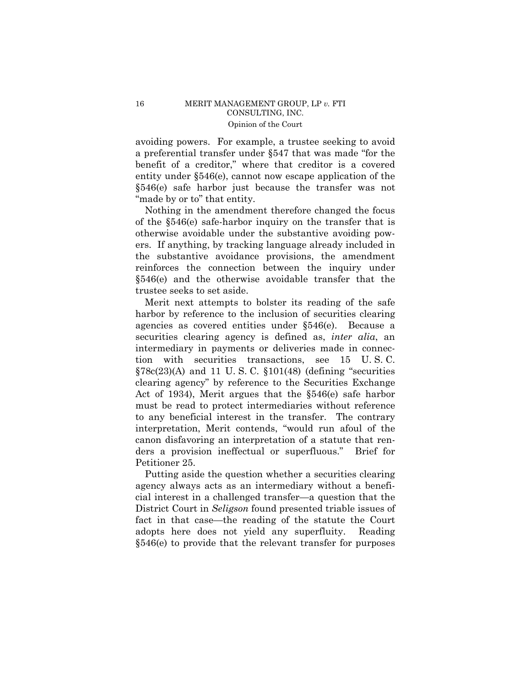avoiding powers. For example, a trustee seeking to avoid a preferential transfer under §547 that was made "for the benefit of a creditor," where that creditor is a covered entity under §546(e), cannot now escape application of the §546(e) safe harbor just because the transfer was not "made by or to" that entity.

Nothing in the amendment therefore changed the focus of the §546(e) safe-harbor inquiry on the transfer that is otherwise avoidable under the substantive avoiding powers. If anything, by tracking language already included in the substantive avoidance provisions, the amendment reinforces the connection between the inquiry under §546(e) and the otherwise avoidable transfer that the trustee seeks to set aside.

Merit next attempts to bolster its reading of the safe harbor by reference to the inclusion of securities clearing agencies as covered entities under §546(e). Because a securities clearing agency is defined as, *inter alia*, an intermediary in payments or deliveries made in connection with securities transactions, see 15 U. S. C.  $\S78c(23)$ (A) and 11 U.S.C.  $\S101(48)$  (defining "securities clearing agency" by reference to the Securities Exchange Act of 1934), Merit argues that the §546(e) safe harbor must be read to protect intermediaries without reference to any beneficial interest in the transfer. The contrary interpretation, Merit contends, "would run afoul of the canon disfavoring an interpretation of a statute that renders a provision ineffectual or superfluous." Brief for Petitioner 25.

Putting aside the question whether a securities clearing agency always acts as an intermediary without a beneficial interest in a challenged transfer—a question that the District Court in *Seligson* found presented triable issues of fact in that case—the reading of the statute the Court adopts here does not yield any superfluity. Reading §546(e) to provide that the relevant transfer for purposes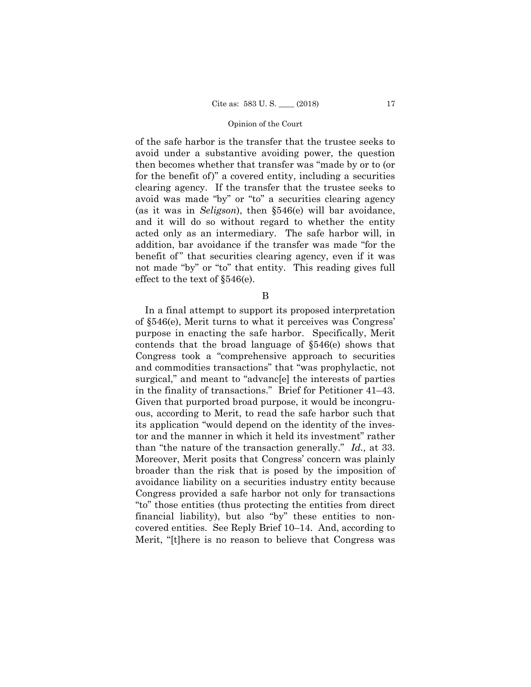of the safe harbor is the transfer that the trustee seeks to avoid under a substantive avoiding power, the question then becomes whether that transfer was "made by or to (or for the benefit of)" a covered entity, including a securities clearing agency. If the transfer that the trustee seeks to avoid was made "by" or "to" a securities clearing agency (as it was in *Seligson*), then §546(e) will bar avoidance, and it will do so without regard to whether the entity acted only as an intermediary. The safe harbor will, in addition, bar avoidance if the transfer was made "for the benefit of" that securities clearing agency, even if it was not made "by" or "to" that entity. This reading gives full effect to the text of §546(e).

B

 purpose in enacting the safe harbor. Specifically, Merit In a final attempt to support its proposed interpretation of §546(e), Merit turns to what it perceives was Congress' contends that the broad language of §546(e) shows that Congress took a "comprehensive approach to securities and commodities transactions" that "was prophylactic, not surgical," and meant to "advanc[e] the interests of parties in the finality of transactions." Brief for Petitioner 41–43. Given that purported broad purpose, it would be incongruous, according to Merit, to read the safe harbor such that its application "would depend on the identity of the investor and the manner in which it held its investment" rather than "the nature of the transaction generally." *Id.,* at 33. Moreover, Merit posits that Congress' concern was plainly broader than the risk that is posed by the imposition of avoidance liability on a securities industry entity because Congress provided a safe harbor not only for transactions "to" those entities (thus protecting the entities from direct financial liability), but also "by" these entities to noncovered entities. See Reply Brief 10–14. And, according to Merit, "[t]here is no reason to believe that Congress was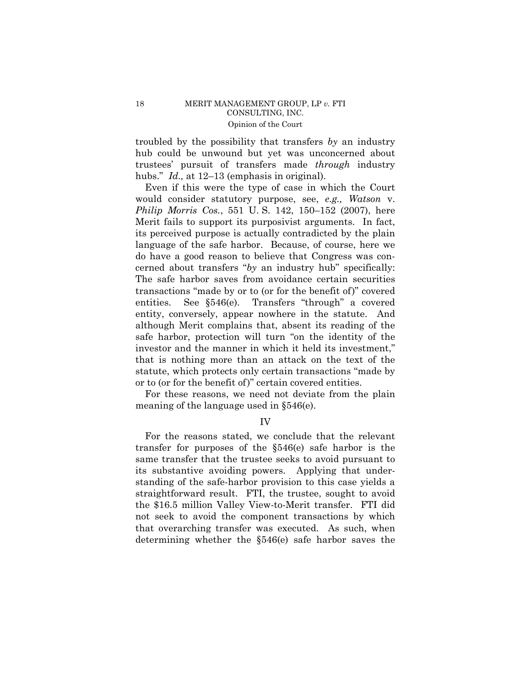troubled by the possibility that transfers *by* an industry hub could be unwound but yet was unconcerned about trustees' pursuit of transfers made *through* industry hubs." *Id.,* at 12–13 (emphasis in original).

Even if this were the type of case in which the Court would consider statutory purpose, see, *e.g., Watson* v. *Philip Morris Cos.*, 551 U. S. 142, 150–152 (2007), here Merit fails to support its purposivist arguments. In fact, its perceived purpose is actually contradicted by the plain language of the safe harbor. Because, of course, here we do have a good reason to believe that Congress was concerned about transfers "*by* an industry hub" specifically: The safe harbor saves from avoidance certain securities transactions "made by or to (or for the benefit of)" covered entities. See §546(e). Transfers "through" a covered entity, conversely, appear nowhere in the statute. And although Merit complains that, absent its reading of the safe harbor, protection will turn "on the identity of the investor and the manner in which it held its investment," that is nothing more than an attack on the text of the statute, which protects only certain transactions "made by or to (or for the benefit of)" certain covered entities.

For these reasons, we need not deviate from the plain meaning of the language used in §546(e).

IV

For the reasons stated, we conclude that the relevant transfer for purposes of the §546(e) safe harbor is the same transfer that the trustee seeks to avoid pursuant to its substantive avoiding powers. Applying that understanding of the safe-harbor provision to this case yields a straightforward result. FTI, the trustee, sought to avoid the \$16.5 million Valley View-to-Merit transfer. FTI did not seek to avoid the component transactions by which that overarching transfer was executed. As such, when determining whether the §546(e) safe harbor saves the